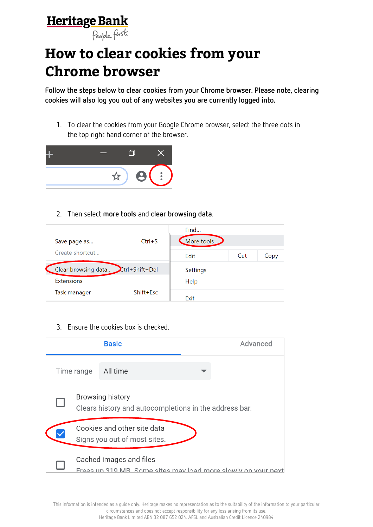## Heritage Bank



## **How to clear cookies from your Chrome browser**

**Follow the steps below to clear cookies from your Chrome browser. Please note, clearing cookies will also log you out of any websites you are currently logged into.**

1. To clear the cookies from your Google Chrome browser, select the three dots in the top right hand corner of the browser.



2. Then select **more tools** and **clear browsing data**.

|                                       |               | Find       |     |      |
|---------------------------------------|---------------|------------|-----|------|
| Save page as                          | $Ctrl + S$    | More tools |     |      |
| Create shortcut                       |               | Edit       | Cut | Copy |
| Ctrl+Shift+Del<br>Clear browsing data | Settings      |            |     |      |
| <b>Extensions</b>                     |               | Help       |     |      |
| Task manager                          | $Shift + Esc$ | Exit       |     |      |

3. Ensure the cookies box is checked.



This information is intended as a guide only. Heritage makes no representation as to the suitability of the information to your particular circumstances and does not accept responsibility for any loss arising from its use. Heritage Bank Limited ABN 32 087 652 024. AFSL and Australian Credit Licence 240984